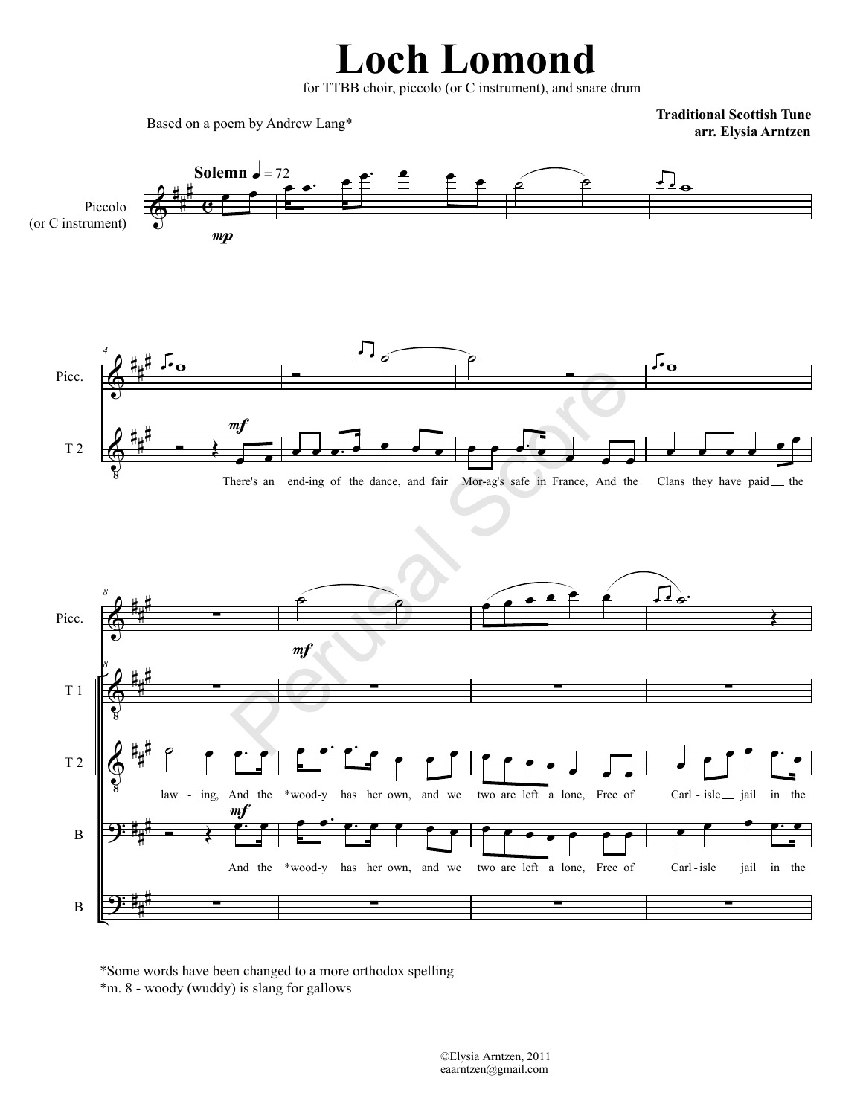**Loch Lomond**

for TTBB choir, piccolo (or C instrument), and snare drum



**Traditional Scottish Tune** Based on a poem by Andrew Lang\* **arrival and a poem in a security of the set of the set of the set of the set of the set of the set of the set of the set of the set of the set of the set of the set of the set of the set of** 



\*Some words have been changed to a more orthodox spelling \*m. 8 - woody (wuddy) is slang for gallows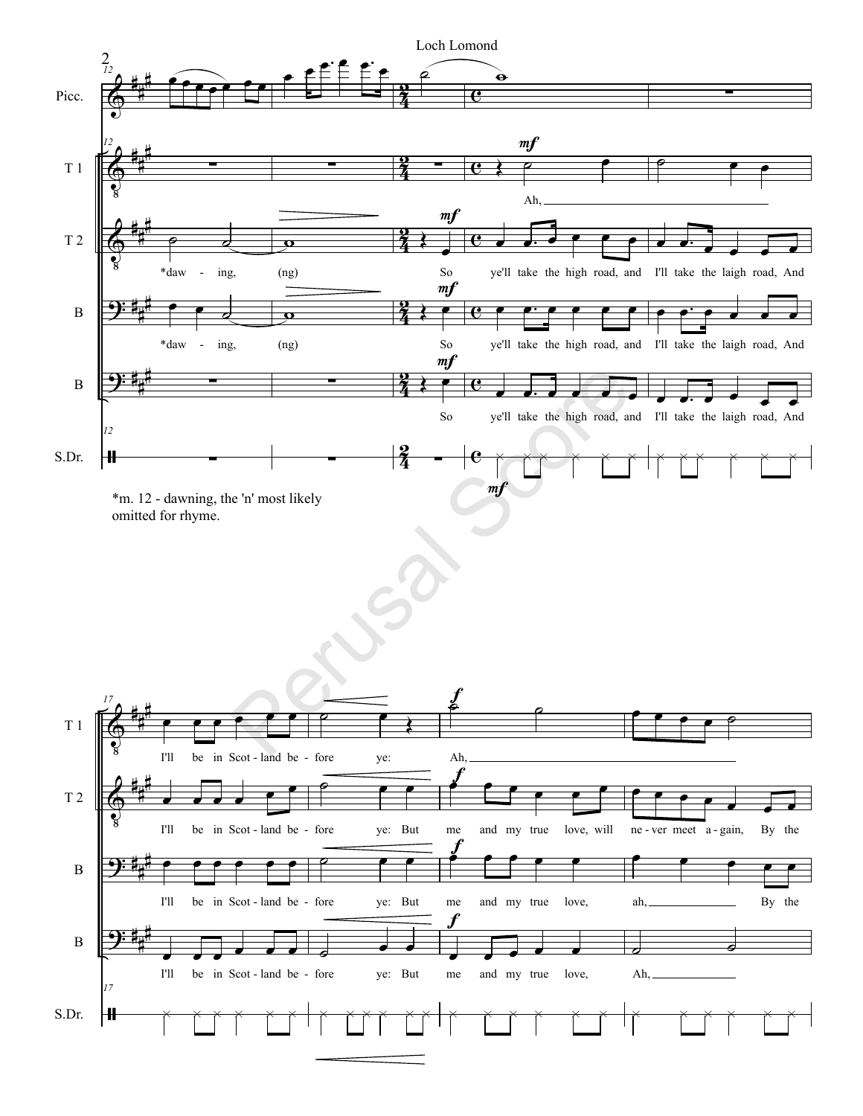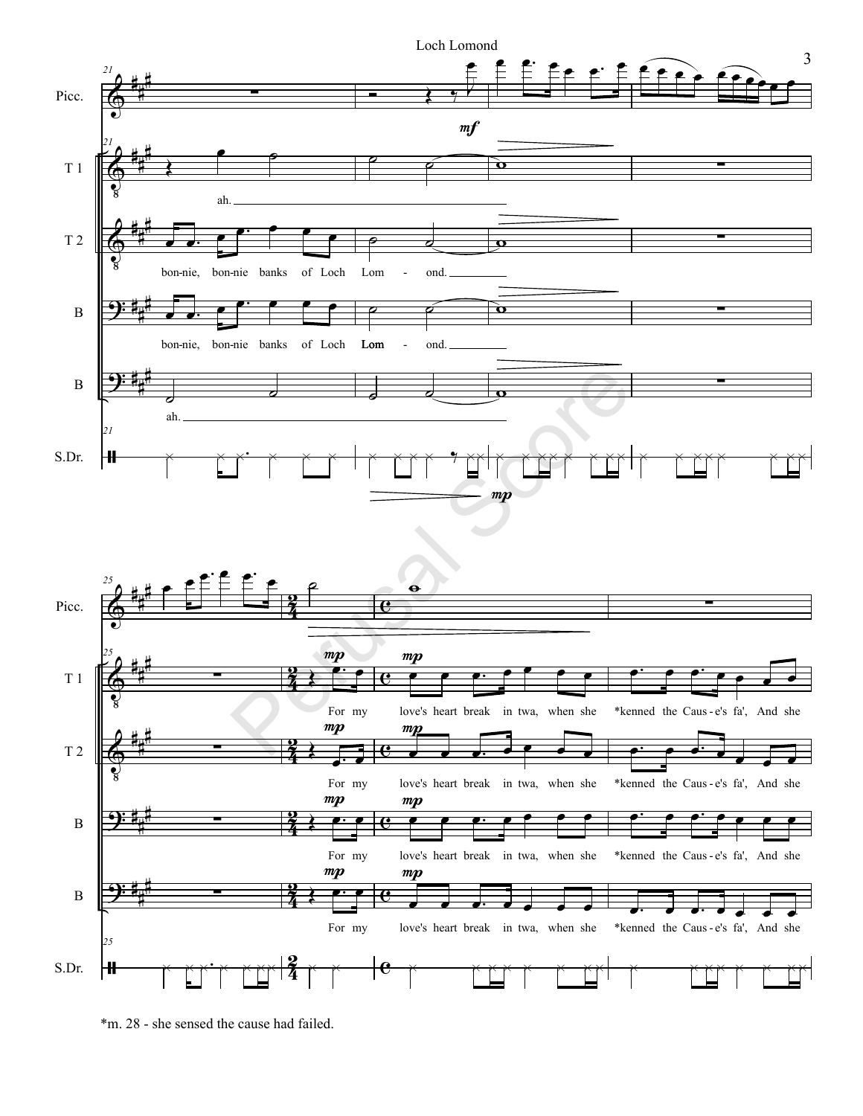

<sup>\*</sup>m. 28 - she sensed the cause had failed.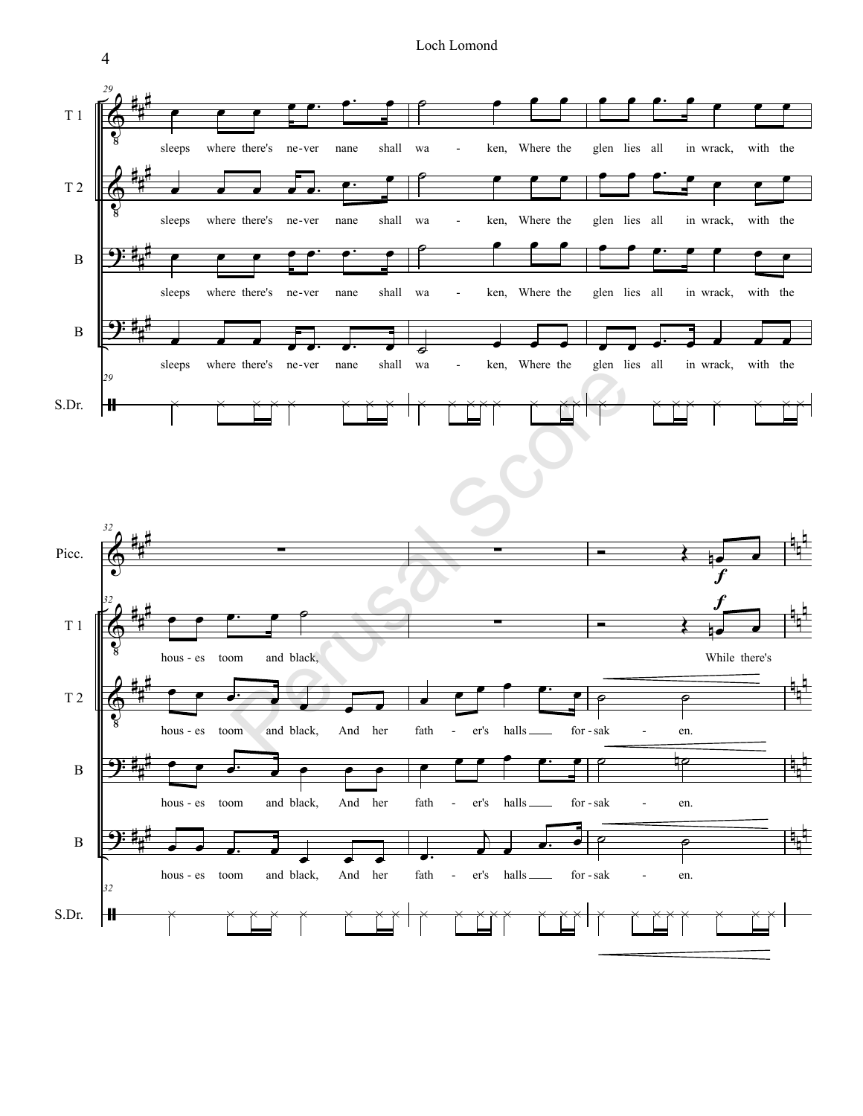Loch Lomond



4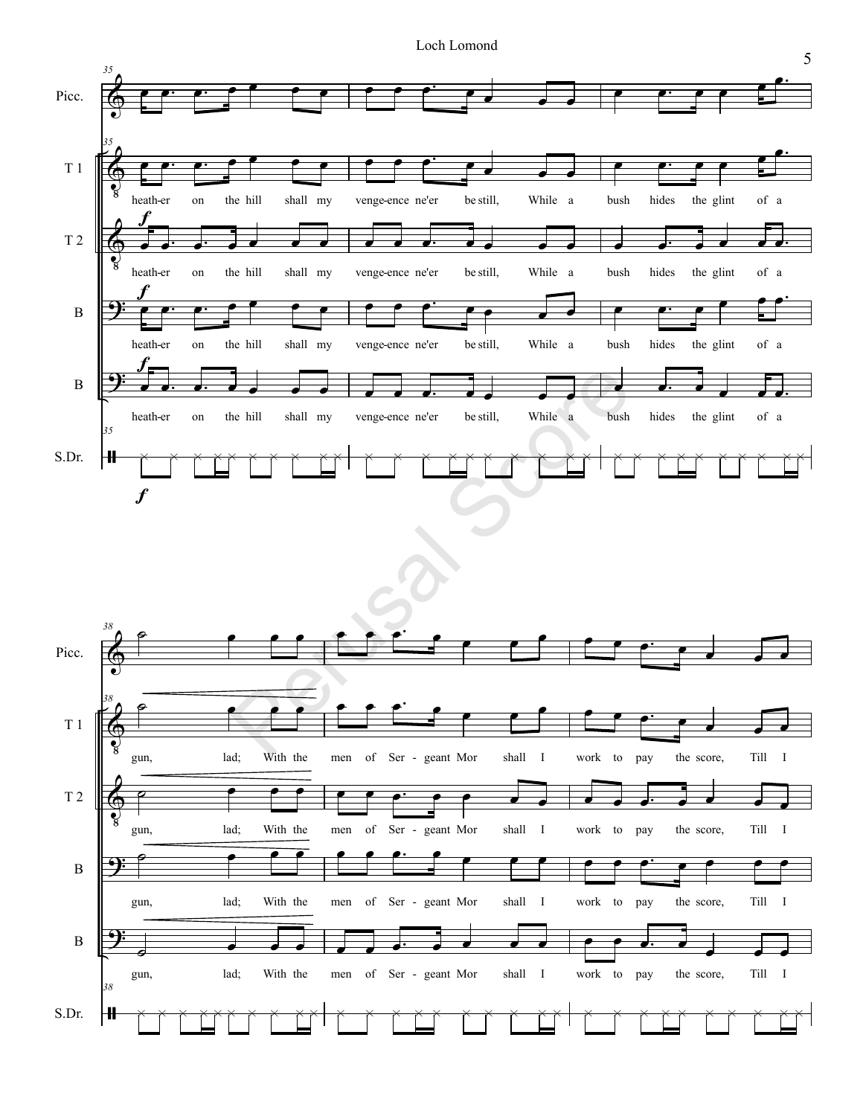Loch Lomond



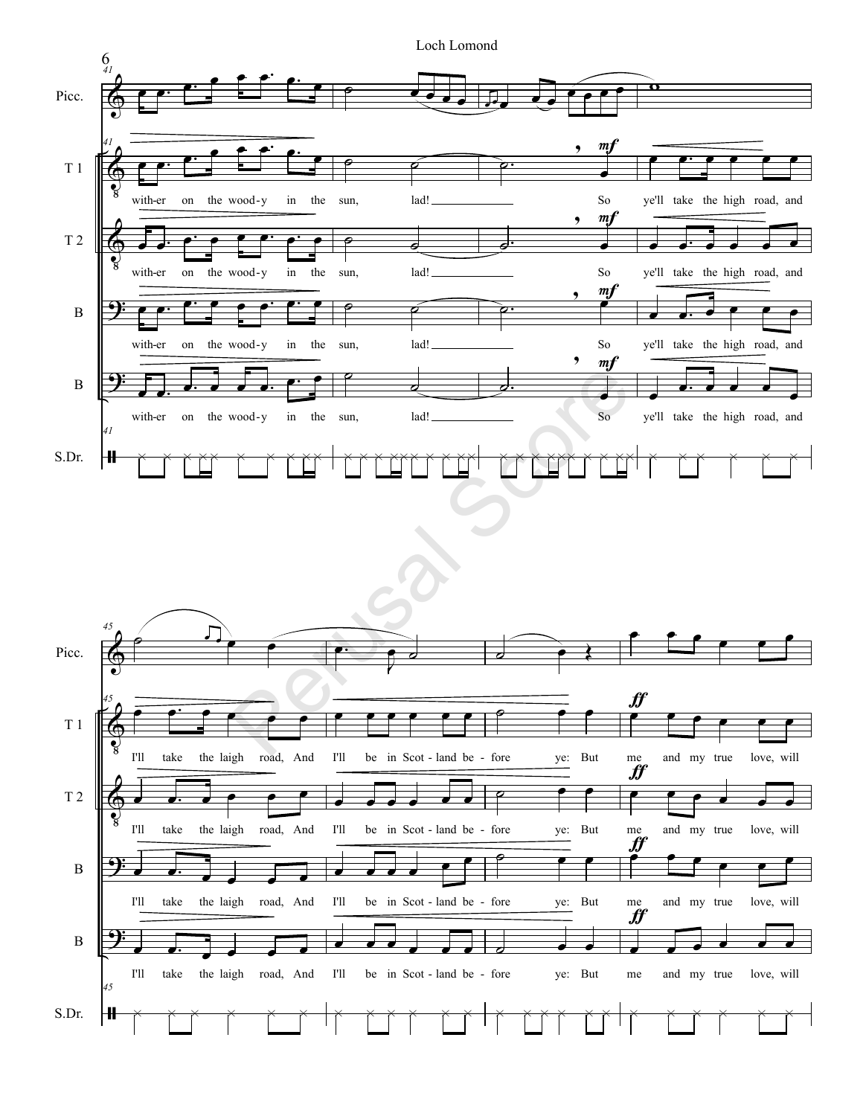

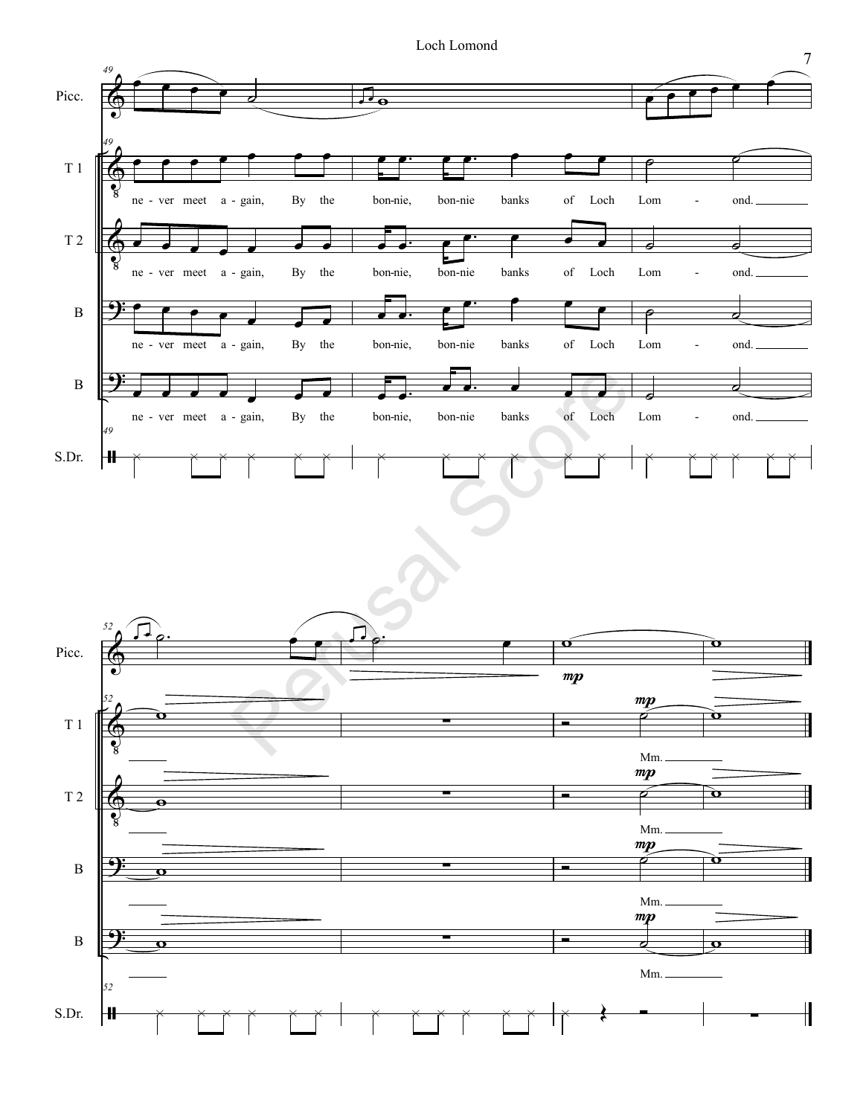Loch Lomond